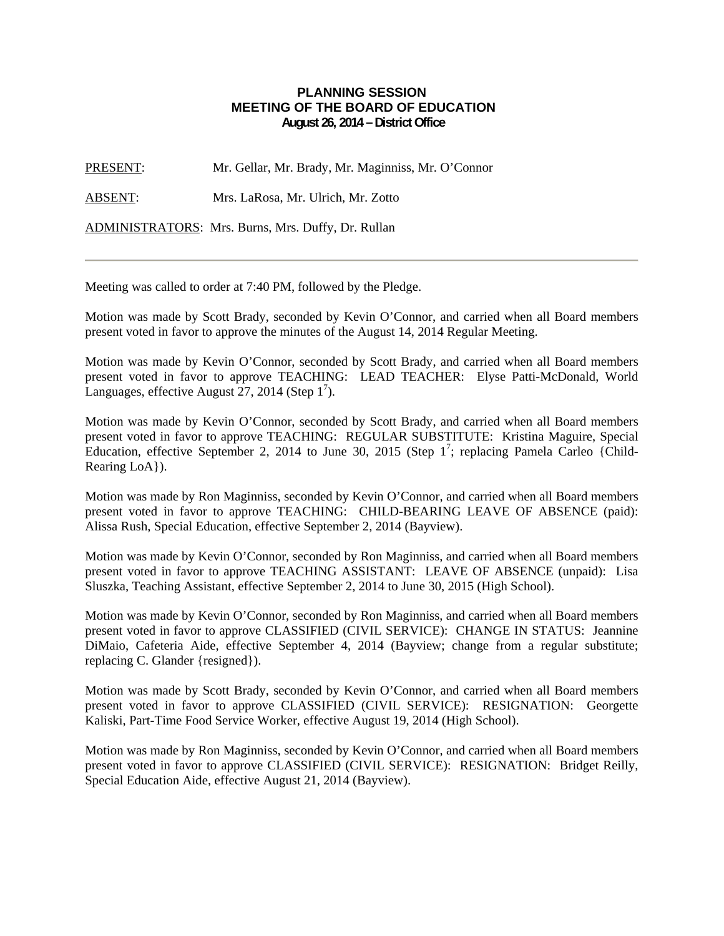## **PLANNING SESSION MEETING OF THE BOARD OF EDUCATION August 26, 2014 – District Office**

PRESENT: Mr. Gellar, Mr. Brady, Mr. Maginniss, Mr. O'Connor

ABSENT: Mrs. LaRosa, Mr. Ulrich, Mr. Zotto

ADMINISTRATORS: Mrs. Burns, Mrs. Duffy, Dr. Rullan

Meeting was called to order at 7:40 PM, followed by the Pledge.

Motion was made by Scott Brady, seconded by Kevin O'Connor, and carried when all Board members present voted in favor to approve the minutes of the August 14, 2014 Regular Meeting.

Motion was made by Kevin O'Connor, seconded by Scott Brady, and carried when all Board members present voted in favor to approve TEACHING: LEAD TEACHER: Elyse Patti-McDonald, World Languages, effective August  $27$ , 2014 (Step 1<sup>7</sup>).

Motion was made by Kevin O'Connor, seconded by Scott Brady, and carried when all Board members present voted in favor to approve TEACHING: REGULAR SUBSTITUTE: Kristina Maguire, Special Education, effective September 2, 2014 to June 30, 2015 (Step  $1^7$ ; replacing Pamela Carleo {Child-Rearing LoA}).

Motion was made by Ron Maginniss, seconded by Kevin O'Connor, and carried when all Board members present voted in favor to approve TEACHING: CHILD-BEARING LEAVE OF ABSENCE (paid): Alissa Rush, Special Education, effective September 2, 2014 (Bayview).

Motion was made by Kevin O'Connor, seconded by Ron Maginniss, and carried when all Board members present voted in favor to approve TEACHING ASSISTANT: LEAVE OF ABSENCE (unpaid): Lisa Sluszka, Teaching Assistant, effective September 2, 2014 to June 30, 2015 (High School).

Motion was made by Kevin O'Connor, seconded by Ron Maginniss, and carried when all Board members present voted in favor to approve CLASSIFIED (CIVIL SERVICE): CHANGE IN STATUS: Jeannine DiMaio, Cafeteria Aide, effective September 4, 2014 (Bayview; change from a regular substitute; replacing C. Glander {resigned}).

Motion was made by Scott Brady, seconded by Kevin O'Connor, and carried when all Board members present voted in favor to approve CLASSIFIED (CIVIL SERVICE): RESIGNATION: Georgette Kaliski, Part-Time Food Service Worker, effective August 19, 2014 (High School).

Motion was made by Ron Maginniss, seconded by Kevin O'Connor, and carried when all Board members present voted in favor to approve CLASSIFIED (CIVIL SERVICE): RESIGNATION: Bridget Reilly, Special Education Aide, effective August 21, 2014 (Bayview).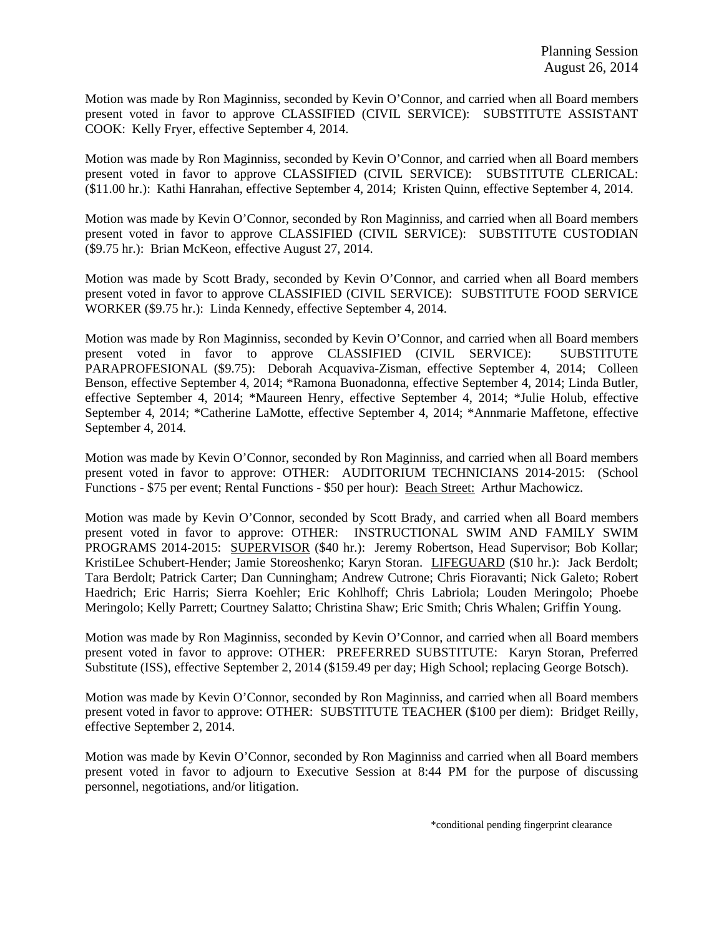Motion was made by Ron Maginniss, seconded by Kevin O'Connor, and carried when all Board members present voted in favor to approve CLASSIFIED (CIVIL SERVICE): SUBSTITUTE ASSISTANT COOK: Kelly Fryer, effective September 4, 2014.

Motion was made by Ron Maginniss, seconded by Kevin O'Connor, and carried when all Board members present voted in favor to approve CLASSIFIED (CIVIL SERVICE): SUBSTITUTE CLERICAL: (\$11.00 hr.): Kathi Hanrahan, effective September 4, 2014; Kristen Quinn, effective September 4, 2014.

Motion was made by Kevin O'Connor, seconded by Ron Maginniss, and carried when all Board members present voted in favor to approve CLASSIFIED (CIVIL SERVICE): SUBSTITUTE CUSTODIAN (\$9.75 hr.): Brian McKeon, effective August 27, 2014.

Motion was made by Scott Brady, seconded by Kevin O'Connor, and carried when all Board members present voted in favor to approve CLASSIFIED (CIVIL SERVICE): SUBSTITUTE FOOD SERVICE WORKER (\$9.75 hr.): Linda Kennedy, effective September 4, 2014.

Motion was made by Ron Maginniss, seconded by Kevin O'Connor, and carried when all Board members present voted in favor to approve CLASSIFIED (CIVIL SERVICE): SUBSTITUTE PARAPROFESIONAL (\$9.75): Deborah Acquaviva-Zisman, effective September 4, 2014; Colleen Benson, effective September 4, 2014; \*Ramona Buonadonna, effective September 4, 2014; Linda Butler, effective September 4, 2014; \*Maureen Henry, effective September 4, 2014; \*Julie Holub, effective September 4, 2014; \*Catherine LaMotte, effective September 4, 2014; \*Annmarie Maffetone, effective September 4, 2014.

Motion was made by Kevin O'Connor, seconded by Ron Maginniss, and carried when all Board members present voted in favor to approve: OTHER: AUDITORIUM TECHNICIANS 2014-2015: (School Functions - \$75 per event; Rental Functions - \$50 per hour): Beach Street: Arthur Machowicz.

Motion was made by Kevin O'Connor, seconded by Scott Brady, and carried when all Board members present voted in favor to approve: OTHER: INSTRUCTIONAL SWIM AND FAMILY SWIM PROGRAMS 2014-2015: SUPERVISOR (\$40 hr.): Jeremy Robertson, Head Supervisor; Bob Kollar; KristiLee Schubert-Hender; Jamie Storeoshenko; Karyn Storan. LIFEGUARD (\$10 hr.): Jack Berdolt; Tara Berdolt; Patrick Carter; Dan Cunningham; Andrew Cutrone; Chris Fioravanti; Nick Galeto; Robert Haedrich; Eric Harris; Sierra Koehler; Eric Kohlhoff; Chris Labriola; Louden Meringolo; Phoebe Meringolo; Kelly Parrett; Courtney Salatto; Christina Shaw; Eric Smith; Chris Whalen; Griffin Young.

Motion was made by Ron Maginniss, seconded by Kevin O'Connor, and carried when all Board members present voted in favor to approve: OTHER: PREFERRED SUBSTITUTE: Karyn Storan, Preferred Substitute (ISS), effective September 2, 2014 (\$159.49 per day; High School; replacing George Botsch).

Motion was made by Kevin O'Connor, seconded by Ron Maginniss, and carried when all Board members present voted in favor to approve: OTHER: SUBSTITUTE TEACHER (\$100 per diem): Bridget Reilly, effective September 2, 2014.

Motion was made by Kevin O'Connor, seconded by Ron Maginniss and carried when all Board members present voted in favor to adjourn to Executive Session at 8:44 PM for the purpose of discussing personnel, negotiations, and/or litigation.